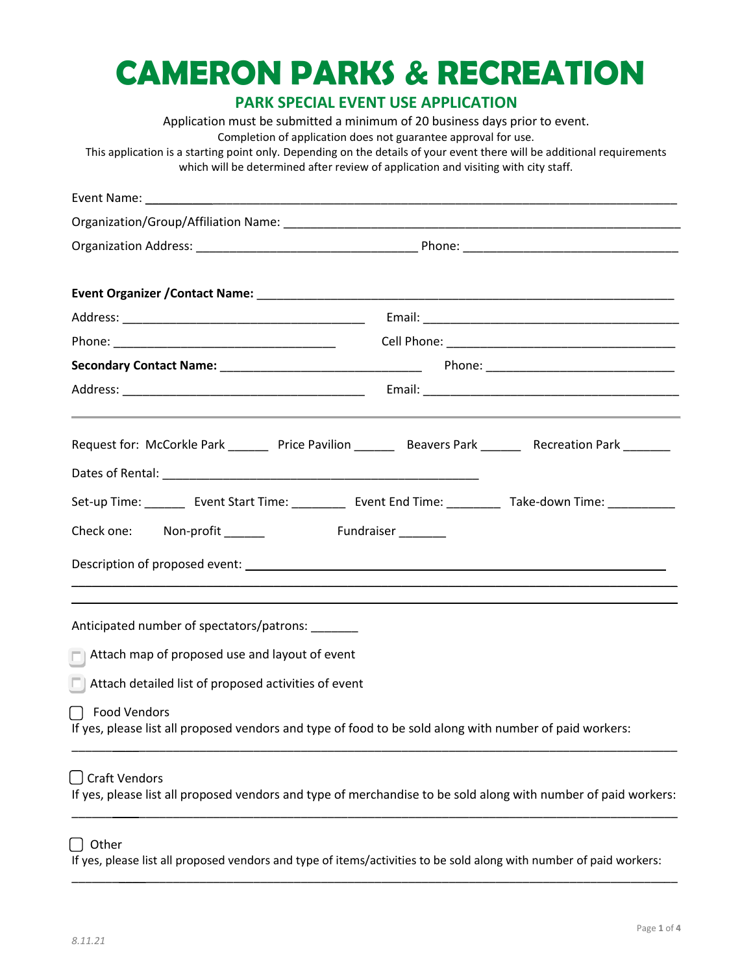# **CAMERON PARKS & RECREATION**

# **PARK SPECIAL EVENT USE APPLICATION**

Application must be submitted a minimum of 20 business days prior to event. Completion of application does not guarantee approval for use. This application is a starting point only. Depending on the details of your event there will be additional requirements which will be determined after review of application and visiting with city staff.

| Request for: McCorkle Park _______ Price Pavilion ________ Beavers Park _______ Recreation Park _______                                  |                     |  |  |  |  |
|------------------------------------------------------------------------------------------------------------------------------------------|---------------------|--|--|--|--|
|                                                                                                                                          |                     |  |  |  |  |
| Set-up Time: _________ Event Start Time: ____________ Event End Time: ___________ Take-down Time: ___________                            |                     |  |  |  |  |
| Check one: Non-profit ______                                                                                                             | Fundraiser ________ |  |  |  |  |
|                                                                                                                                          |                     |  |  |  |  |
| Anticipated number of spectators/patrons: ______                                                                                         |                     |  |  |  |  |
| $\Box$ Attach map of proposed use and layout of event                                                                                    |                     |  |  |  |  |
| $\Box$ Attach detailed list of proposed activities of event                                                                              |                     |  |  |  |  |
| $\Box$<br><b>Food Vendors</b><br>If yes, please list all proposed vendors and type of food to be sold along with number of paid workers: |                     |  |  |  |  |
| [ ] Craft Vendors<br>If yes, please list all proposed vendors and type of merchandise to be sold along with number of paid workers:      |                     |  |  |  |  |

# $\bigcap$  Other

If yes, please list all proposed vendors and type of items/activities to be sold along with number of paid workers: \_\_\_\_\_\_\_\_\_\_\_\_\_\_\_\_\_\_\_\_\_\_\_\_\_\_\_\_\_\_\_\_\_\_\_\_\_\_\_\_\_\_\_\_\_\_\_\_\_\_\_\_\_\_\_\_\_\_\_\_\_\_\_\_\_\_\_\_\_\_\_\_\_\_\_\_\_\_\_\_\_\_\_\_\_\_\_\_\_\_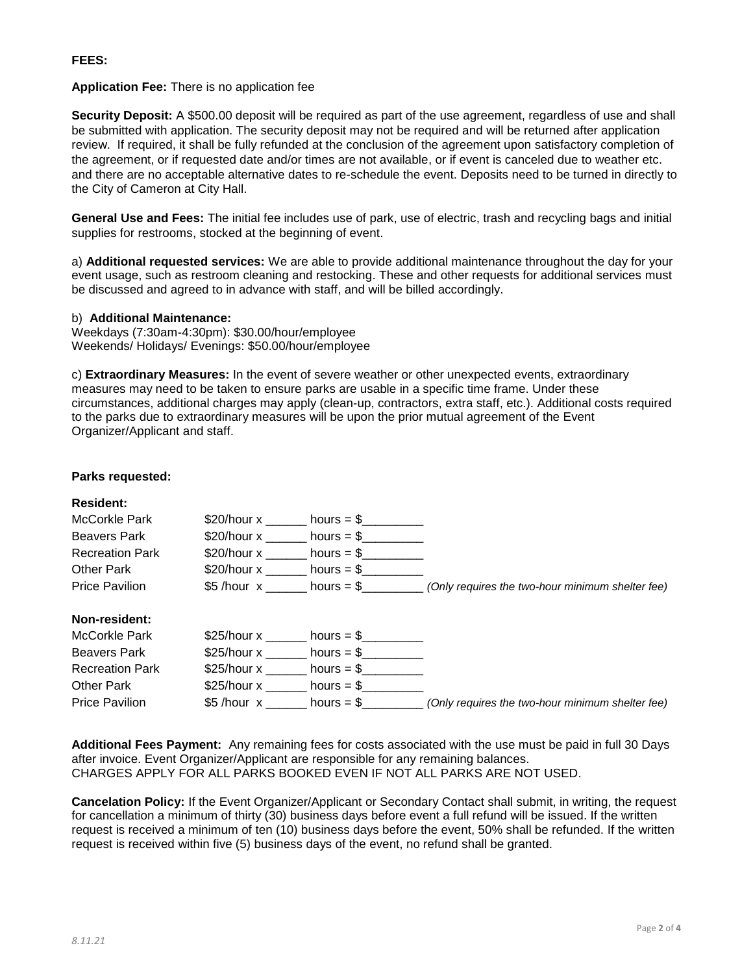## **FEES:**

#### **Application Fee:** There is no application fee

**Security Deposit:** A \$500.00 deposit will be required as part of the use agreement, regardless of use and shall be submitted with application. The security deposit may not be required and will be returned after application review. If required, it shall be fully refunded at the conclusion of the agreement upon satisfactory completion of the agreement, or if requested date and/or times are not available, or if event is canceled due to weather etc. and there are no acceptable alternative dates to re-schedule the event. Deposits need to be turned in directly to the City of Cameron at City Hall.

**General Use and Fees:** The initial fee includes use of park, use of electric, trash and recycling bags and initial supplies for restrooms, stocked at the beginning of event.

a) **Additional requested services:** We are able to provide additional maintenance throughout the day for your event usage, such as restroom cleaning and restocking. These and other requests for additional services must be discussed and agreed to in advance with staff, and will be billed accordingly.

#### b) **Additional Maintenance:**

Weekdays (7:30am-4:30pm): \$30.00/hour/employee Weekends/ Holidays/ Evenings: \$50.00/hour/employee

c) **Extraordinary Measures:** In the event of severe weather or other unexpected events, extraordinary measures may need to be taken to ensure parks are usable in a specific time frame. Under these circumstances, additional charges may apply (clean-up, contractors, extra staff, etc.). Additional costs required to the parks due to extraordinary measures will be upon the prior mutual agreement of the Event Organizer/Applicant and staff.

### **Parks requested:**

| <b>Resident:</b>       |             |              |                                                  |
|------------------------|-------------|--------------|--------------------------------------------------|
| McCorkle Park          | \$20/hour x | hours $=$ \$ |                                                  |
| <b>Beavers Park</b>    | \$20/hour x | hours $=$ \$ |                                                  |
| <b>Recreation Park</b> | \$20/hour x | hours $=$ \$ |                                                  |
| Other Park             | \$20/hour x | hours $=$ \$ |                                                  |
| <b>Price Pavilion</b>  | \$5 /hour x | hours $= $$  | (Only requires the two-hour minimum shelter fee) |
| Non-resident:          |             |              |                                                  |
| <b>McCorkle Park</b>   | \$25/hour x | $hours = $$  |                                                  |
| <b>Beavers Park</b>    | \$25/hour x | $hours = $$  |                                                  |
| <b>Recreation Park</b> | \$25/hour x | hours $=$ \$ |                                                  |
| <b>Other Park</b>      | \$25/hour x | hours $=$ \$ |                                                  |
| <b>Price Pavilion</b>  | \$5/hour x  | hours $=$ \$ | (Only requires the two-hour minimum shelter fee) |

**Additional Fees Payment:** Any remaining fees for costs associated with the use must be paid in full 30 Days after invoice. Event Organizer/Applicant are responsible for any remaining balances. CHARGES APPLY FOR ALL PARKS BOOKED EVEN IF NOT ALL PARKS ARE NOT USED.

**Cancelation Policy:** If the Event Organizer/Applicant or Secondary Contact shall submit, in writing, the request for cancellation a minimum of thirty (30) business days before event a full refund will be issued. If the written request is received a minimum of ten (10) business days before the event, 50% shall be refunded. If the written request is received within five (5) business days of the event, no refund shall be granted.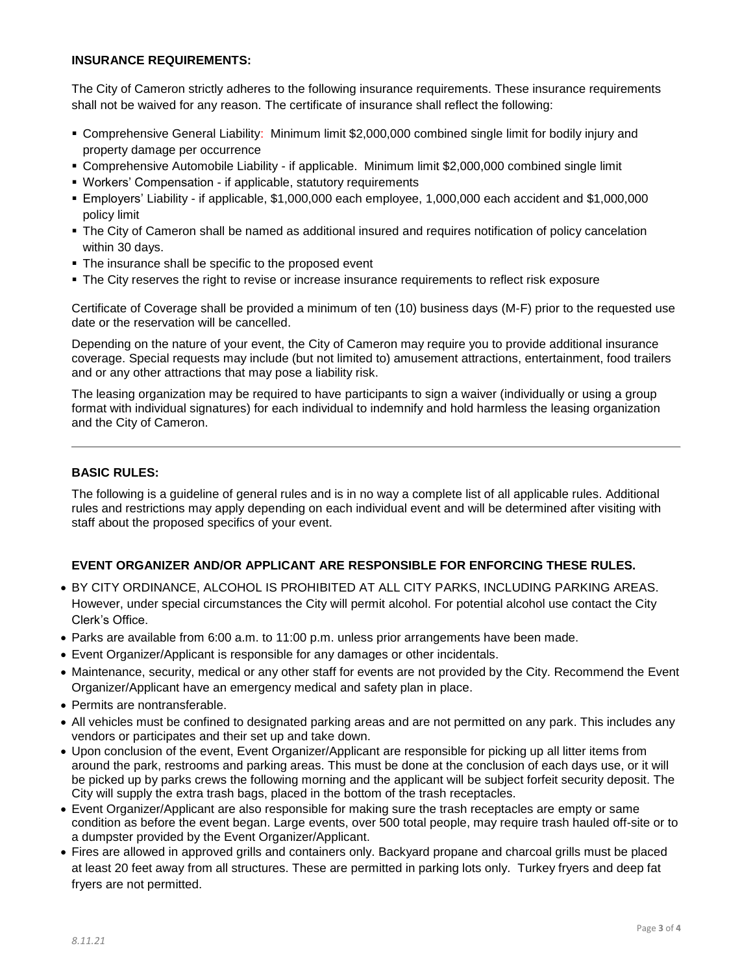## **INSURANCE REQUIREMENTS:**

The City of Cameron strictly adheres to the following insurance requirements. These insurance requirements shall not be waived for any reason. The certificate of insurance shall reflect the following:

- Comprehensive General Liability: Minimum limit \$2,000,000 combined single limit for bodily injury and property damage per occurrence
- Comprehensive Automobile Liability if applicable. Minimum limit \$2,000,000 combined single limit
- Workers' Compensation if applicable, statutory requirements
- Employers' Liability if applicable, \$1,000,000 each employee, 1,000,000 each accident and \$1,000,000 policy limit
- The City of Cameron shall be named as additional insured and requires notification of policy cancelation within 30 days.
- **The insurance shall be specific to the proposed event**
- The City reserves the right to revise or increase insurance requirements to reflect risk exposure

Certificate of Coverage shall be provided a minimum of ten (10) business days (M-F) prior to the requested use date or the reservation will be cancelled.

Depending on the nature of your event, the City of Cameron may require you to provide additional insurance coverage. Special requests may include (but not limited to) amusement attractions, entertainment, food trailers and or any other attractions that may pose a liability risk.

The leasing organization may be required to have participants to sign a waiver (individually or using a group format with individual signatures) for each individual to indemnify and hold harmless the leasing organization and the City of Cameron.

## **BASIC RULES:**

The following is a guideline of general rules and is in no way a complete list of all applicable rules. Additional rules and restrictions may apply depending on each individual event and will be determined after visiting with staff about the proposed specifics of your event.

# **EVENT ORGANIZER AND/OR APPLICANT ARE RESPONSIBLE FOR ENFORCING THESE RULES.**

- BY CITY ORDINANCE, ALCOHOL IS PROHIBITED AT ALL CITY PARKS, INCLUDING PARKING AREAS. However, under special circumstances the City will permit alcohol. For potential alcohol use contact the City Clerk's Office.
- Parks are available from 6:00 a.m. to 11:00 p.m. unless prior arrangements have been made.
- Event Organizer/Applicant is responsible for any damages or other incidentals.
- Maintenance, security, medical or any other staff for events are not provided by the City. Recommend the Event Organizer/Applicant have an emergency medical and safety plan in place.
- Permits are nontransferable.
- All vehicles must be confined to designated parking areas and are not permitted on any park. This includes any vendors or participates and their set up and take down.
- Upon conclusion of the event, Event Organizer/Applicant are responsible for picking up all litter items from around the park, restrooms and parking areas. This must be done at the conclusion of each days use, or it will be picked up by parks crews the following morning and the applicant will be subject forfeit security deposit. The City will supply the extra trash bags, placed in the bottom of the trash receptacles.
- Event Organizer/Applicant are also responsible for making sure the trash receptacles are empty or same condition as before the event began. Large events, over 500 total people, may require trash hauled off-site or to a dumpster provided by the Event Organizer/Applicant.
- Fires are allowed in approved grills and containers only. Backyard propane and charcoal grills must be placed at least 20 feet away from all structures. These are permitted in parking lots only. Turkey fryers and deep fat fryers are not permitted.